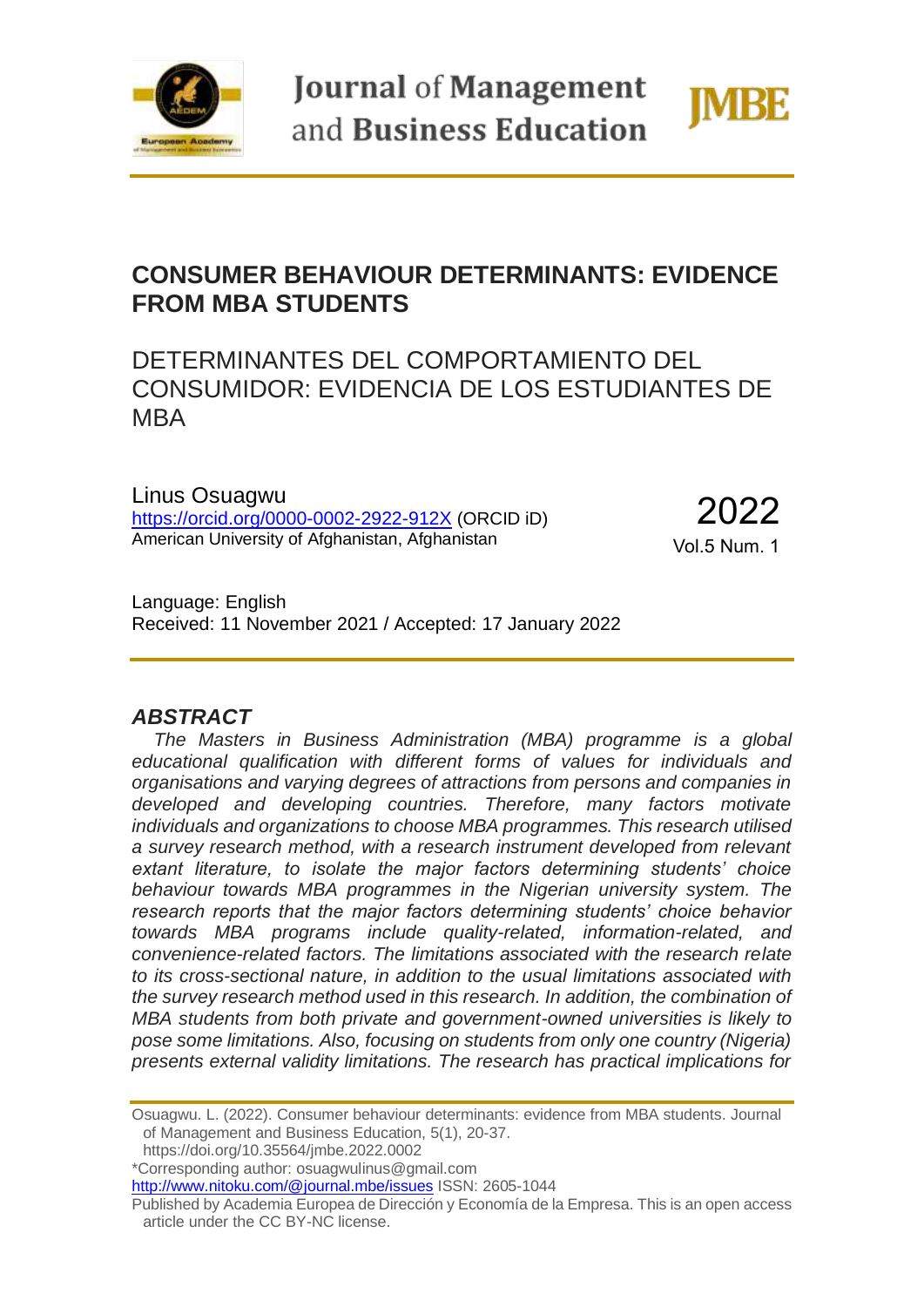

**Journal of Management** and Business Education



## **CONSUMER BEHAVIOUR DETERMINANTS: EVIDENCE FROM MBA STUDENTS**

# DETERMINANTES DEL COMPORTAMIENTO DEL CONSUMIDOR: EVIDENCIA DE LOS ESTUDIANTES DE MBA

Linus Osuagwu <https://orcid.org/0000-0002-2922-912X> (ORCID iD) American University of Afghanistan, Afghanistan

2022

Vol.5 Num. 1

Language: English Received: 11 November 2021 / Accepted: 17 January 2022

### *ABSTRACT*

*The Masters in Business Administration (MBA) programme is a global educational qualification with different forms of values for individuals and organisations and varying degrees of attractions from persons and companies in developed and developing countries. Therefore, many factors motivate individuals and organizations to choose MBA programmes. This research utilised a survey research method, with a research instrument developed from relevant extant literature, to isolate the major factors determining students' choice behaviour towards MBA programmes in the Nigerian university system. The research reports that the major factors determining students' choice behavior towards MBA programs include quality-related, information-related, and convenience-related factors. The limitations associated with the research relate to its cross-sectional nature, in addition to the usual limitations associated with the survey research method used in this research. In addition, the combination of MBA students from both private and government-owned universities is likely to pose some limitations. Also, focusing on students from only one country (Nigeria) presents external validity limitations. The research has practical implications for* 

Osuagwu. L. (2022). Consumer behaviour determinants: evidence from MBA students. Journal of Management and Business Education, 5(1), 20-37.

https://doi.org/10.35564/jmbe.2022.0002

\*Corresponding author: osuagwulinus@gmail.com

<http://www.nitoku.com/@journal.mbe/issues> ISSN: 2605-1044

Published by Academia Europea de Dirección y Economía de la Empresa. This is an open access article under the CC BY-NC license.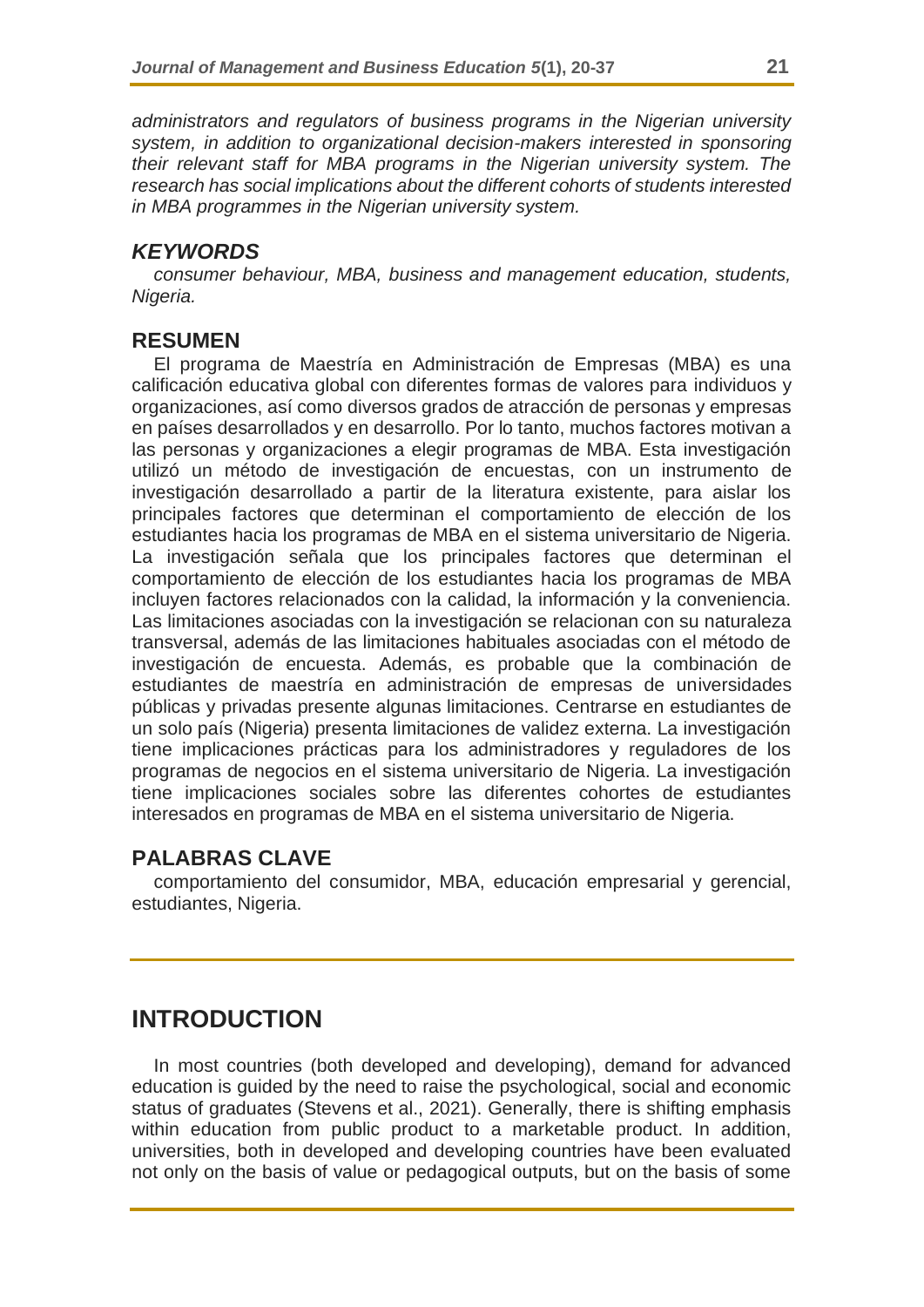*administrators and regulators of business programs in the Nigerian university system, in addition to organizational decision-makers interested in sponsoring their relevant staff for MBA programs in the Nigerian university system. The research has social implications about the different cohorts of students interested in MBA programmes in the Nigerian university system.* 

#### *KEYWORDS*

*consumer behaviour, MBA, business and management education, students, Nigeria.*

#### **RESUMEN**

El programa de Maestría en Administración de Empresas (MBA) es una calificación educativa global con diferentes formas de valores para individuos y organizaciones, así como diversos grados de atracción de personas y empresas en países desarrollados y en desarrollo. Por lo tanto, muchos factores motivan a las personas y organizaciones a elegir programas de MBA. Esta investigación utilizó un método de investigación de encuestas, con un instrumento de investigación desarrollado a partir de la literatura existente, para aislar los principales factores que determinan el comportamiento de elección de los estudiantes hacia los programas de MBA en el sistema universitario de Nigeria. La investigación señala que los principales factores que determinan el comportamiento de elección de los estudiantes hacia los programas de MBA incluyen factores relacionados con la calidad, la información y la conveniencia. Las limitaciones asociadas con la investigación se relacionan con su naturaleza transversal, además de las limitaciones habituales asociadas con el método de investigación de encuesta. Además, es probable que la combinación de estudiantes de maestría en administración de empresas de universidades públicas y privadas presente algunas limitaciones. Centrarse en estudiantes de un solo país (Nigeria) presenta limitaciones de validez externa. La investigación tiene implicaciones prácticas para los administradores y reguladores de los programas de negocios en el sistema universitario de Nigeria. La investigación tiene implicaciones sociales sobre las diferentes cohortes de estudiantes interesados en programas de MBA en el sistema universitario de Nigeria.

### **PALABRAS CLAVE**

comportamiento del consumidor, MBA, educación empresarial y gerencial, estudiantes, Nigeria.

### **INTRODUCTION**

In most countries (both developed and developing), demand for advanced education is guided by the need to raise the psychological, social and economic status of graduates (Stevens et al., 2021). Generally, there is shifting emphasis within education from public product to a marketable product. In addition, universities, both in developed and developing countries have been evaluated not only on the basis of value or pedagogical outputs, but on the basis of some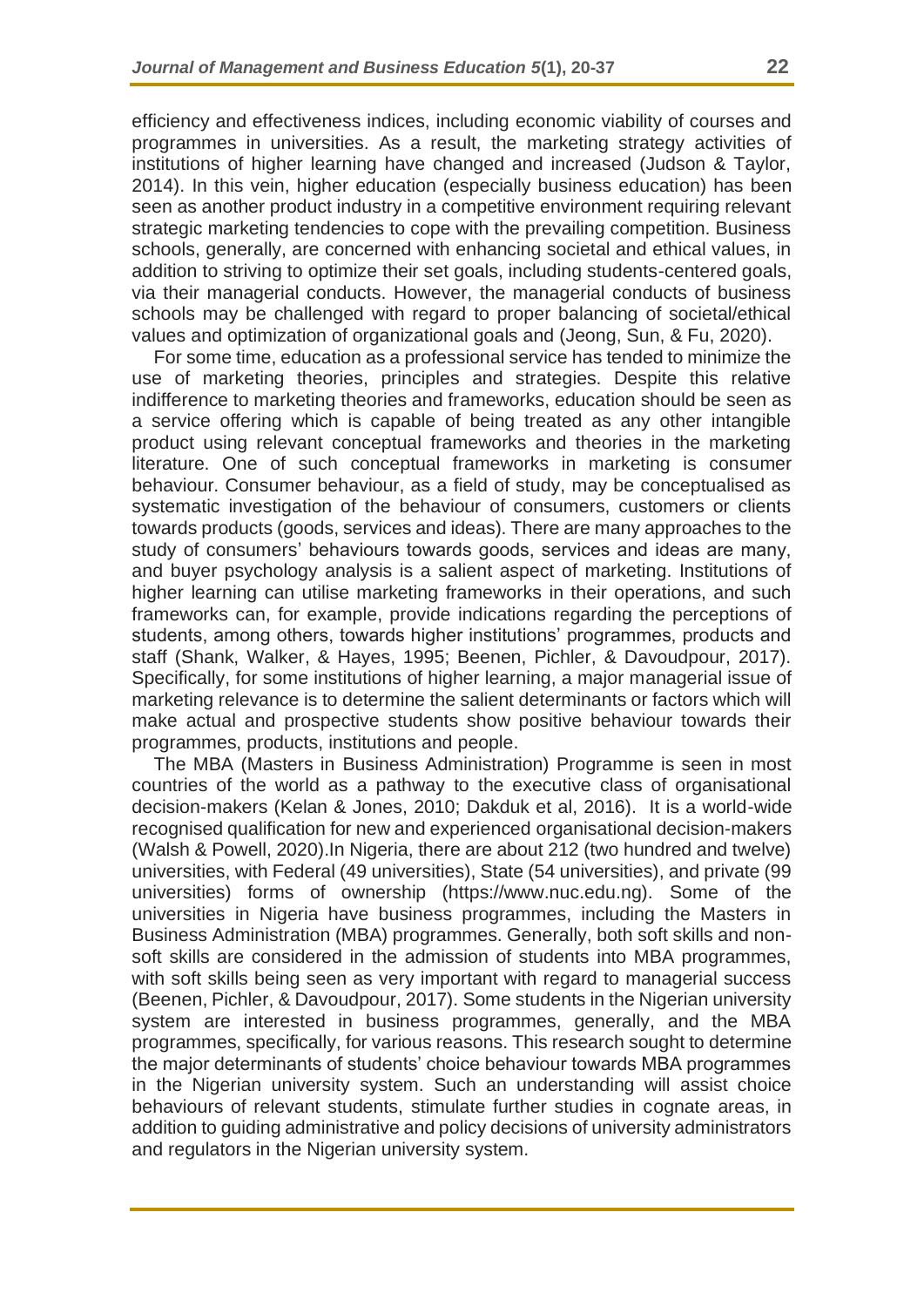efficiency and effectiveness indices, including economic viability of courses and programmes in universities. As a result, the marketing strategy activities of institutions of higher learning have changed and increased (Judson & Taylor, 2014). In this vein, higher education (especially business education) has been seen as another product industry in a competitive environment requiring relevant strategic marketing tendencies to cope with the prevailing competition. Business schools, generally, are concerned with enhancing societal and ethical values, in addition to striving to optimize their set goals, including students-centered goals, via their managerial conducts. However, the managerial conducts of business schools may be challenged with regard to proper balancing of societal/ethical values and optimization of organizational goals and (Jeong, Sun, & Fu, 2020).

For some time, education as a professional service has tended to minimize the use of marketing theories, principles and strategies. Despite this relative indifference to marketing theories and frameworks, education should be seen as a service offering which is capable of being treated as any other intangible product using relevant conceptual frameworks and theories in the marketing literature. One of such conceptual frameworks in marketing is consumer behaviour. Consumer behaviour, as a field of study, may be conceptualised as systematic investigation of the behaviour of consumers, customers or clients towards products (goods, services and ideas). There are many approaches to the study of consumers' behaviours towards goods, services and ideas are many, and buyer psychology analysis is a salient aspect of marketing. Institutions of higher learning can utilise marketing frameworks in their operations, and such frameworks can, for example, provide indications regarding the perceptions of students, among others, towards higher institutions' programmes, products and staff (Shank, Walker, & Hayes, 1995; Beenen, Pichler, & Davoudpour, 2017). Specifically, for some institutions of higher learning, a major managerial issue of marketing relevance is to determine the salient determinants or factors which will make actual and prospective students show positive behaviour towards their programmes, products, institutions and people.

The MBA (Masters in Business Administration) Programme is seen in most countries of the world as a pathway to the executive class of organisational decision-makers (Kelan & Jones, 2010; Dakduk et al, 2016). It is a world-wide recognised qualification for new and experienced organisational decision-makers (Walsh & Powell, 2020).In Nigeria, there are about 212 (two hundred and twelve) universities, with Federal (49 universities), State (54 universities), and private (99 universities) forms of ownership (https://www.nuc.edu.ng). Some of the universities in Nigeria have business programmes, including the Masters in Business Administration (MBA) programmes. Generally, both soft skills and nonsoft skills are considered in the admission of students into MBA programmes, with soft skills being seen as very important with regard to managerial success (Beenen, Pichler, & Davoudpour, 2017). Some students in the Nigerian university system are interested in business programmes, generally, and the MBA programmes, specifically, for various reasons. This research sought to determine the major determinants of students' choice behaviour towards MBA programmes in the Nigerian university system. Such an understanding will assist choice behaviours of relevant students, stimulate further studies in cognate areas, in addition to guiding administrative and policy decisions of university administrators and regulators in the Nigerian university system.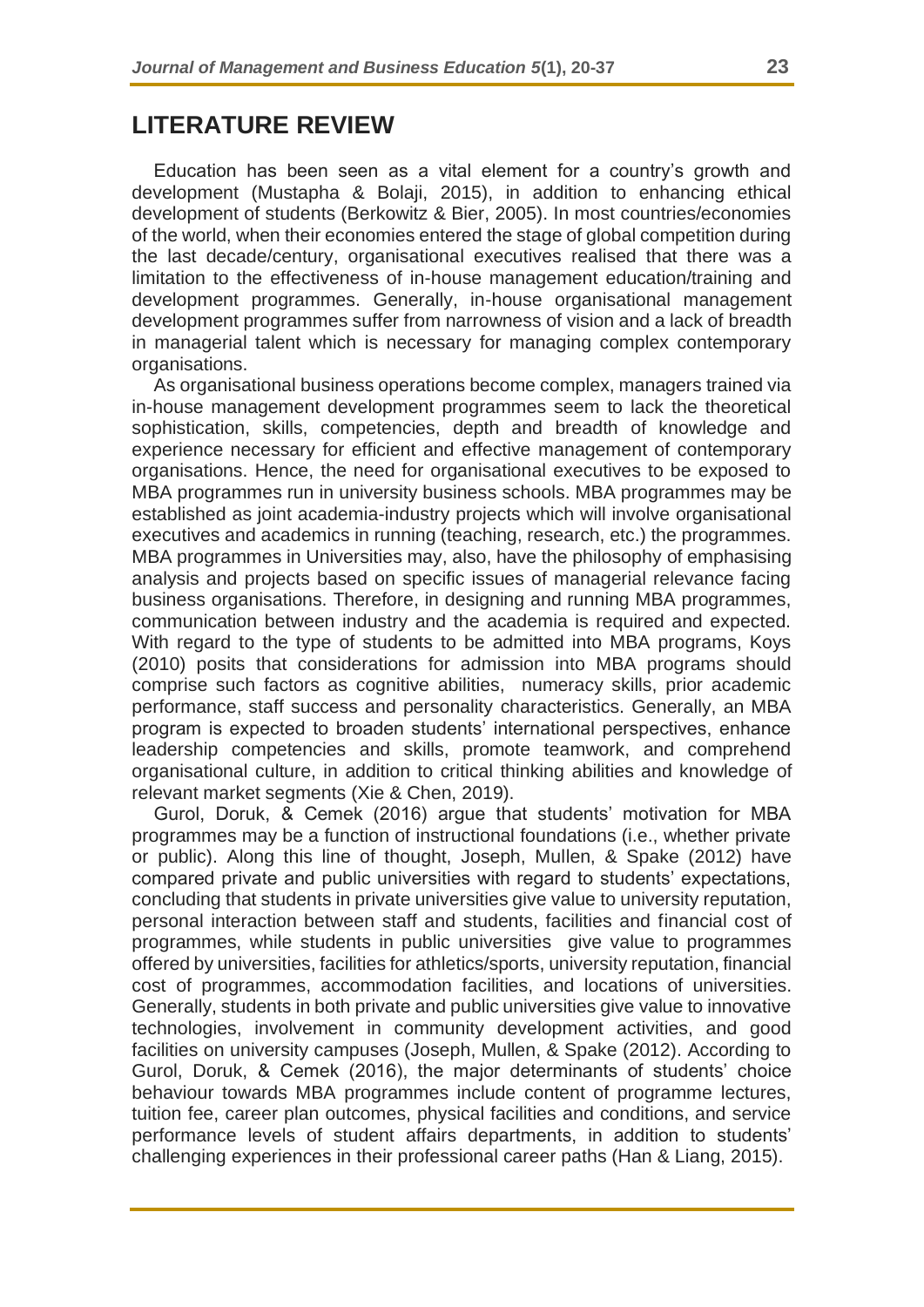### **LITERATURE REVIEW**

Education has been seen as a vital element for a country's growth and development (Mustapha & Bolaji, 2015), in addition to enhancing ethical development of students (Berkowitz & Bier, 2005). In most countries/economies of the world, when their economies entered the stage of global competition during the last decade/century, organisational executives realised that there was a limitation to the effectiveness of in-house management education/training and development programmes. Generally, in-house organisational management development programmes suffer from narrowness of vision and a lack of breadth in managerial talent which is necessary for managing complex contemporary organisations.

As organisational business operations become complex, managers trained via in-house management development programmes seem to lack the theoretical sophistication, skills, competencies, depth and breadth of knowledge and experience necessary for efficient and effective management of contemporary organisations. Hence, the need for organisational executives to be exposed to MBA programmes run in university business schools. MBA programmes may be established as joint academia-industry projects which will involve organisational executives and academics in running (teaching, research, etc.) the programmes. MBA programmes in Universities may, also, have the philosophy of emphasising analysis and projects based on specific issues of managerial relevance facing business organisations. Therefore, in designing and running MBA programmes, communication between industry and the academia is required and expected. With regard to the type of students to be admitted into MBA programs, Koys (2010) posits that considerations for admission into MBA programs should comprise such factors as cognitive abilities, numeracy skills, prior academic performance, staff success and personality characteristics. Generally, an MBA program is expected to broaden students' international perspectives, enhance leadership competencies and skills, promote teamwork, and comprehend organisational culture, in addition to critical thinking abilities and knowledge of relevant market segments (Xie & Chen, 2019).

Gurol, Doruk, & Cemek (2016) argue that students' motivation for MBA programmes may be a function of instructional foundations (i.e., whether private or public). Along this line of thought, Joseph, Mullen, & Spake (2012) have compared private and public universities with regard to students' expectations, concluding that students in private universities give value to university reputation, personal interaction between staff and students, facilities and financial cost of programmes, while students in public universities give value to programmes offered by universities, facilities for athletics/sports, university reputation, financial cost of programmes, accommodation facilities, and locations of universities. Generally, students in both private and public universities give value to innovative technologies, involvement in community development activities, and good facilities on university campuses (Joseph, Mullen, & Spake (2012). According to Gurol, Doruk, & Cemek (2016), the major determinants of students' choice behaviour towards MBA programmes include content of programme lectures, tuition fee, career plan outcomes, physical facilities and conditions, and service performance levels of student affairs departments, in addition to students' challenging experiences in their professional career paths (Han & Liang, 2015).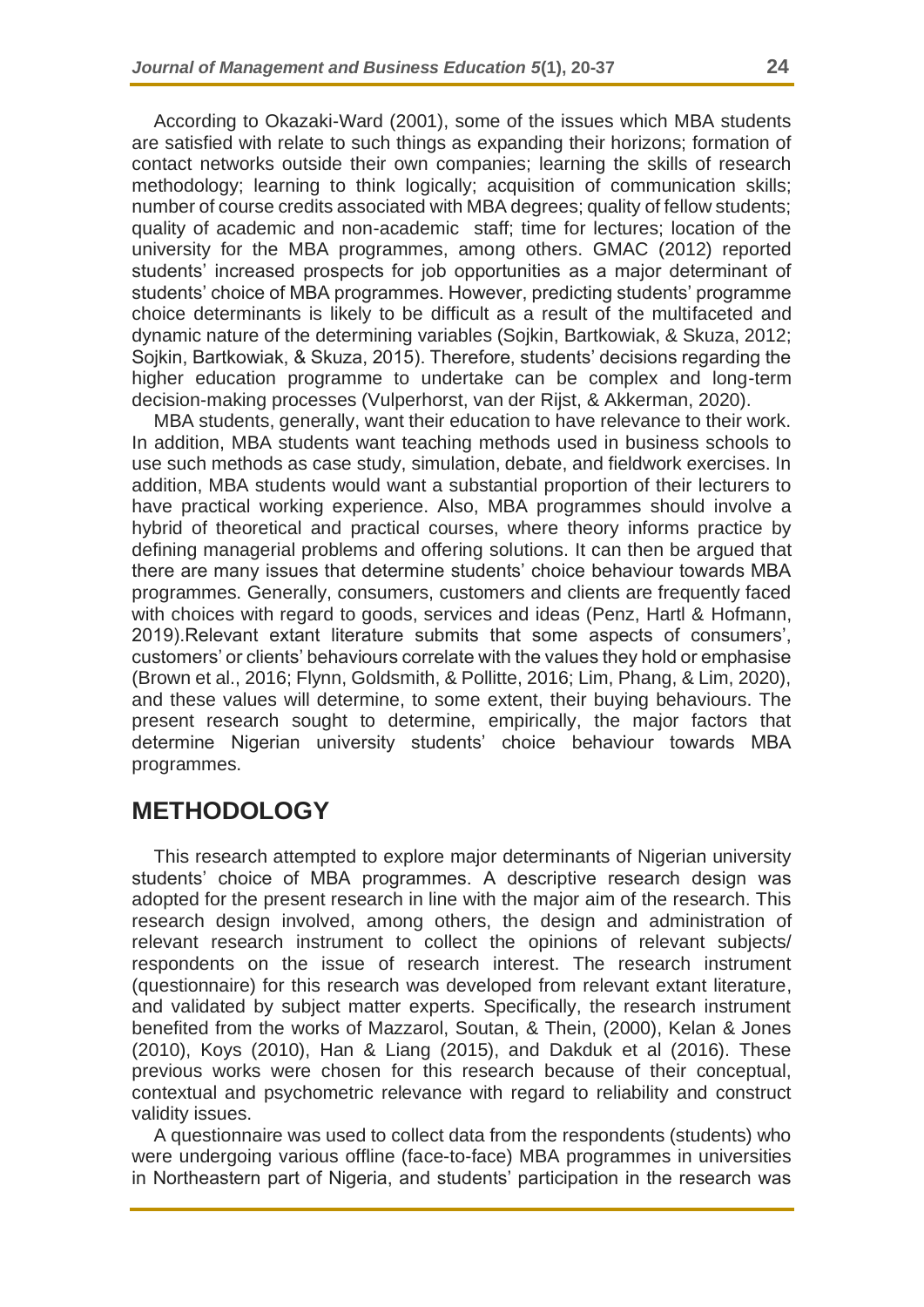According to Okazaki-Ward (2001), some of the issues which MBA students are satisfied with relate to such things as expanding their horizons; formation of contact networks outside their own companies; learning the skills of research methodology; learning to think logically; acquisition of communication skills; number of course credits associated with MBA degrees; quality of fellow students; quality of academic and non-academic staff; time for lectures; location of the university for the MBA programmes, among others. GMAC (2012) reported students' increased prospects for job opportunities as a major determinant of students' choice of MBA programmes. However, predicting students' programme choice determinants is likely to be difficult as a result of the multifaceted and dynamic nature of the determining variables (Sojkin, Bartkowiak, & Skuza, 2012; Sojkin, Bartkowiak, & Skuza, 2015). Therefore, students' decisions regarding the higher education programme to undertake can be complex and long-term decision-making processes (Vulperhorst, van der Rijst, & Akkerman, 2020).

MBA students, generally, want their education to have relevance to their work. In addition, MBA students want teaching methods used in business schools to use such methods as case study, simulation, debate, and fieldwork exercises. In addition, MBA students would want a substantial proportion of their lecturers to have practical working experience. Also, MBA programmes should involve a hybrid of theoretical and practical courses, where theory informs practice by defining managerial problems and offering solutions. It can then be argued that there are many issues that determine students' choice behaviour towards MBA programmes. Generally, consumers, customers and clients are frequently faced with choices with regard to goods, services and ideas (Penz, Hartl & Hofmann, 2019).Relevant extant literature submits that some aspects of consumers', customers' or clients' behaviours correlate with the values they hold or emphasise (Brown et al., 2016; Flynn, Goldsmith, & Pollitte, 2016; Lim, Phang, & Lim, 2020), and these values will determine, to some extent, their buying behaviours. The present research sought to determine, empirically, the major factors that determine Nigerian university students' choice behaviour towards MBA programmes.

### **METHODOLOGY**

This research attempted to explore major determinants of Nigerian university students' choice of MBA programmes. A descriptive research design was adopted for the present research in line with the major aim of the research. This research design involved, among others, the design and administration of relevant research instrument to collect the opinions of relevant subjects/ respondents on the issue of research interest. The research instrument (questionnaire) for this research was developed from relevant extant literature, and validated by subject matter experts. Specifically, the research instrument benefited from the works of Mazzarol, Soutan, & Thein, (2000), Kelan & Jones (2010), Koys (2010), Han & Liang (2015), and Dakduk et al (2016). These previous works were chosen for this research because of their conceptual, contextual and psychometric relevance with regard to reliability and construct validity issues.

A questionnaire was used to collect data from the respondents (students) who were undergoing various offline (face-to-face) MBA programmes in universities in Northeastern part of Nigeria, and students' participation in the research was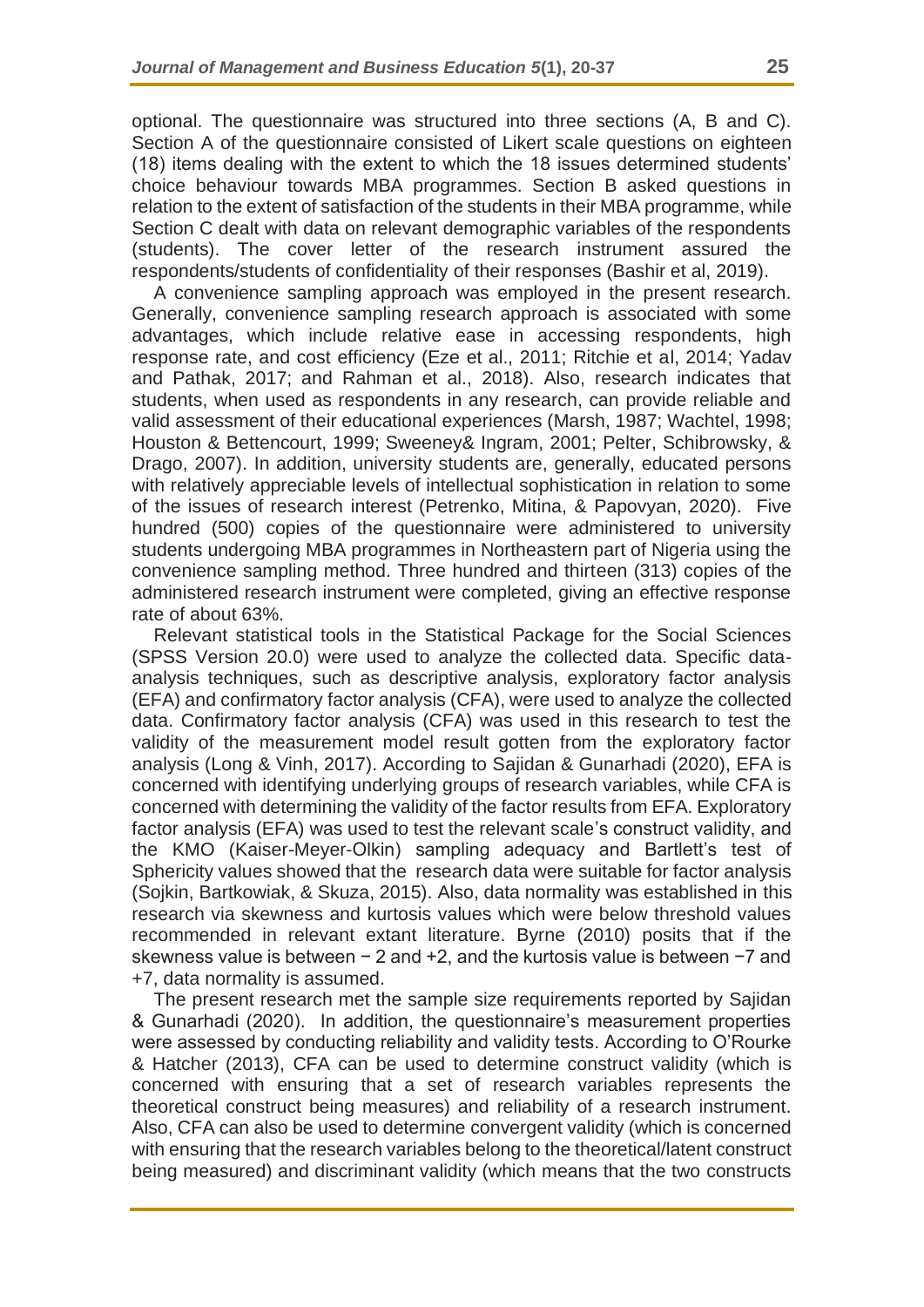optional. The questionnaire was structured into three sections (A, B and C). Section A of the questionnaire consisted of Likert scale questions on eighteen (18) items dealing with the extent to which the 18 issues determined students' choice behaviour towards MBA programmes. Section B asked questions in relation to the extent of satisfaction of the students in their MBA programme, while Section C dealt with data on relevant demographic variables of the respondents (students). The cover letter of the research instrument assured the respondents/students of confidentiality of their responses (Bashir et al, 2019).

A convenience sampling approach was employed in the present research. Generally, convenience sampling research approach is associated with some advantages, which include relative ease in accessing respondents, high response rate, and cost efficiency (Eze et al., 2011; Ritchie et al, 2014; Yadav and Pathak, 2017; and Rahman et al., 2018). Also, research indicates that students, when used as respondents in any research, can provide reliable and valid assessment of their educational experiences (Marsh, 1987; Wachtel, 1998; Houston & Bettencourt, 1999; Sweeney& Ingram, 2001; Pelter, Schibrowsky, & Drago, 2007). In addition, university students are, generally, educated persons with relatively appreciable levels of intellectual sophistication in relation to some of the issues of research interest (Petrenko, Mitina, & Papovyan, 2020). Five hundred (500) copies of the questionnaire were administered to university students undergoing MBA programmes in Northeastern part of Nigeria using the convenience sampling method. Three hundred and thirteen (313) copies of the administered research instrument were completed, giving an effective response rate of about 63%.

Relevant statistical tools in the Statistical Package for the Social Sciences (SPSS Version 20.0) were used to analyze the collected data. Specific dataanalysis techniques, such as descriptive analysis, exploratory factor analysis (EFA) and confirmatory factor analysis (CFA), were used to analyze the collected data. Confirmatory factor analysis (CFA) was used in this research to test the validity of the measurement model result gotten from the exploratory factor analysis (Long & Vinh, 2017). According to Sajidan & Gunarhadi (2020), EFA is concerned with identifying underlying groups of research variables, while CFA is concerned with determining the validity of the factor results from EFA. Exploratory factor analysis (EFA) was used to test the relevant scale's construct validity, and the KMO (Kaiser-Meyer-Olkin) sampling adequacy and Bartlett's test of Sphericity values showed that the research data were suitable for factor analysis (Sojkin, Bartkowiak, & Skuza, 2015). Also, data normality was established in this research via skewness and kurtosis values which were below threshold values recommended in relevant extant literature. Byrne (2010) posits that if the skewness value is between − 2 and +2, and the kurtosis value is between −7 and +7, data normality is assumed.

The present research met the sample size requirements reported by Sajidan & Gunarhadi (2020). In addition, the questionnaire's measurement properties were assessed by conducting reliability and validity tests. According to O'Rourke & Hatcher (2013), CFA can be used to determine construct validity (which is concerned with ensuring that a set of research variables represents the theoretical construct being measures) and reliability of a research instrument. Also, CFA can also be used to determine convergent validity (which is concerned with ensuring that the research variables belong to the theoretical/latent construct being measured) and discriminant validity (which means that the two constructs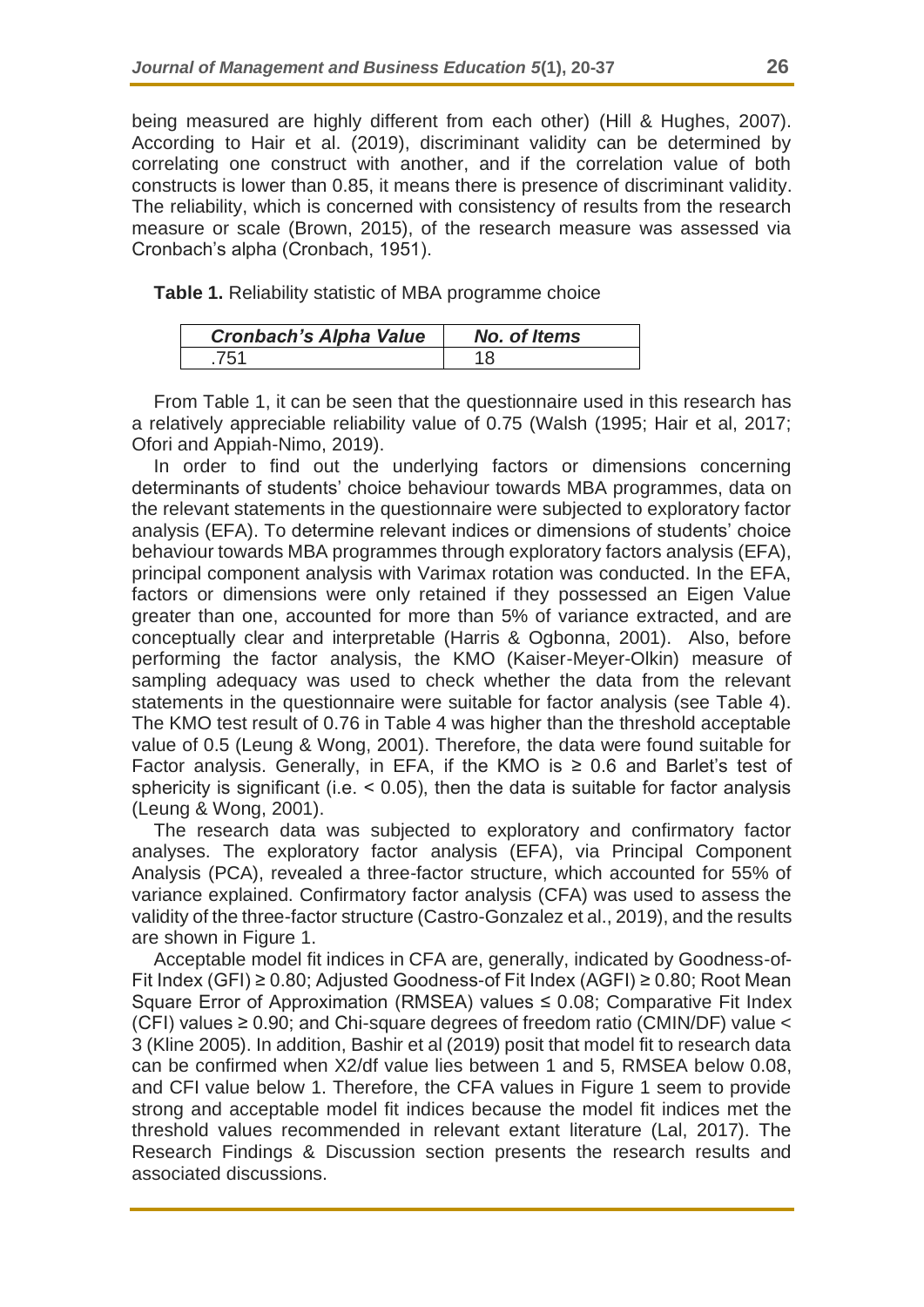being measured are highly different from each other) (Hill & Hughes, 2007). According to Hair et al. (2019), discriminant validity can be determined by correlating one construct with another, and if the correlation value of both constructs is lower than 0.85, it means there is presence of discriminant validity. The reliability, which is concerned with consistency of results from the research measure or scale (Brown, 2015), of the research measure was assessed via Cronbach's alpha (Cronbach, 1951).

**Table 1.** Reliability statistic of MBA programme choice

| <b>Cronbach's Alpha Value</b> | No. of Items |
|-------------------------------|--------------|
| 751                           |              |

From Table 1, it can be seen that the questionnaire used in this research has a relatively appreciable reliability value of 0.75 (Walsh (1995; Hair et al, 2017; Ofori and Appiah-Nimo, 2019).

In order to find out the underlying factors or dimensions concerning determinants of students' choice behaviour towards MBA programmes, data on the relevant statements in the questionnaire were subjected to exploratory factor analysis (EFA). To determine relevant indices or dimensions of students' choice behaviour towards MBA programmes through exploratory factors analysis (EFA), principal component analysis with Varimax rotation was conducted. In the EFA, factors or dimensions were only retained if they possessed an Eigen Value greater than one, accounted for more than 5% of variance extracted, and are conceptually clear and interpretable (Harris & Ogbonna, 2001). Also, before performing the factor analysis, the KMO (Kaiser-Meyer-Olkin) measure of sampling adequacy was used to check whether the data from the relevant statements in the questionnaire were suitable for factor analysis (see Table 4). The KMO test result of 0.76 in Table 4 was higher than the threshold acceptable value of 0.5 (Leung & Wong, 2001). Therefore, the data were found suitable for Factor analysis. Generally, in EFA, if the KMO is  $\geq$  0.6 and Barlet's test of sphericity is significant (i.e.  $< 0.05$ ), then the data is suitable for factor analysis (Leung & Wong, 2001).

The research data was subjected to exploratory and confirmatory factor analyses. The exploratory factor analysis (EFA), via Principal Component Analysis (PCA), revealed a three-factor structure, which accounted for 55% of variance explained. Confirmatory factor analysis (CFA) was used to assess the validity of the three-factor structure (Castro-Gonzalez et al., 2019), and the results are shown in Figure 1.

Acceptable model fit indices in CFA are, generally, indicated by Goodness-of-Fit Index (GFI) ≥ 0.80; Adjusted Goodness-of Fit Index (AGFI) ≥ 0.80; Root Mean Square Error of Approximation (RMSEA) values  $\leq$  0.08; Comparative Fit Index (CFI) values ≥ 0.90; and Chi-square degrees of freedom ratio (CMIN/DF) value < 3 (Kline 2005). In addition, Bashir et al (2019) posit that model fit to research data can be confirmed when X2/df value lies between 1 and 5, RMSEA below 0.08, and CFI value below 1. Therefore, the CFA values in Figure 1 seem to provide strong and acceptable model fit indices because the model fit indices met the threshold values recommended in relevant extant literature (Lal, 2017). The Research Findings & Discussion section presents the research results and associated discussions.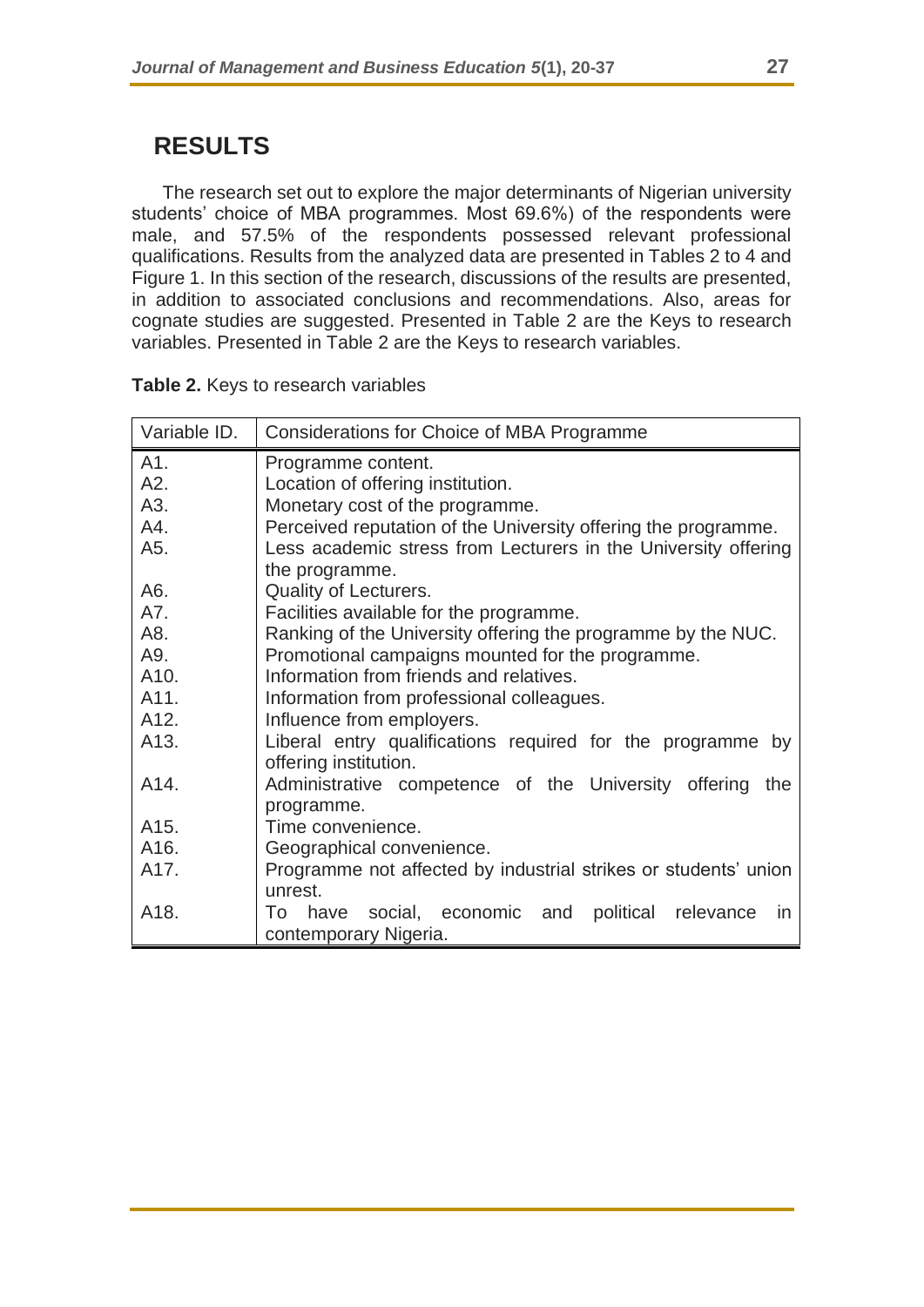# **RESULTS**

The research set out to explore the major determinants of Nigerian university students' choice of MBA programmes. Most 69.6%) of the respondents were male, and 57.5% of the respondents possessed relevant professional qualifications. Results from the analyzed data are presented in Tables 2 to 4 and Figure 1. In this section of the research, discussions of the results are presented, in addition to associated conclusions and recommendations. Also, areas for cognate studies are suggested. Presented in Table 2 are the Keys to research variables. Presented in Table 2 are the Keys to research variables.

| Variable ID. | Considerations for Choice of MBA Programme                                |  |  |
|--------------|---------------------------------------------------------------------------|--|--|
| A1.          | Programme content.                                                        |  |  |
| A2.          | Location of offering institution.                                         |  |  |
| A3.          | Monetary cost of the programme.                                           |  |  |
| A4.          | Perceived reputation of the University offering the programme.            |  |  |
| A5.          | Less academic stress from Lecturers in the University offering            |  |  |
|              | the programme.                                                            |  |  |
| A6.          | Quality of Lecturers.                                                     |  |  |
| A7.          | Facilities available for the programme.                                   |  |  |
| A8.          | Ranking of the University offering the programme by the NUC.              |  |  |
| A9.          | Promotional campaigns mounted for the programme.                          |  |  |
| A10.         | Information from friends and relatives.                                   |  |  |
| A11.         | Information from professional colleagues.                                 |  |  |
| A12.         | Influence from employers.                                                 |  |  |
| A13.         | Liberal entry qualifications required for the programme by                |  |  |
|              | offering institution.                                                     |  |  |
| A14.         | Administrative competence of the University offering the                  |  |  |
|              | programme.                                                                |  |  |
| A15.         | Time convenience.                                                         |  |  |
| A16.         | Geographical convenience.                                                 |  |  |
| A17.         | Programme not affected by industrial strikes or students' union           |  |  |
|              | unrest.                                                                   |  |  |
| A18.         | political relevance<br>To<br>social, economic and<br>have<br>$\mathsf{I}$ |  |  |
|              | contemporary Nigeria.                                                     |  |  |

|  |  |  | Table 2. Keys to research variables |
|--|--|--|-------------------------------------|
|--|--|--|-------------------------------------|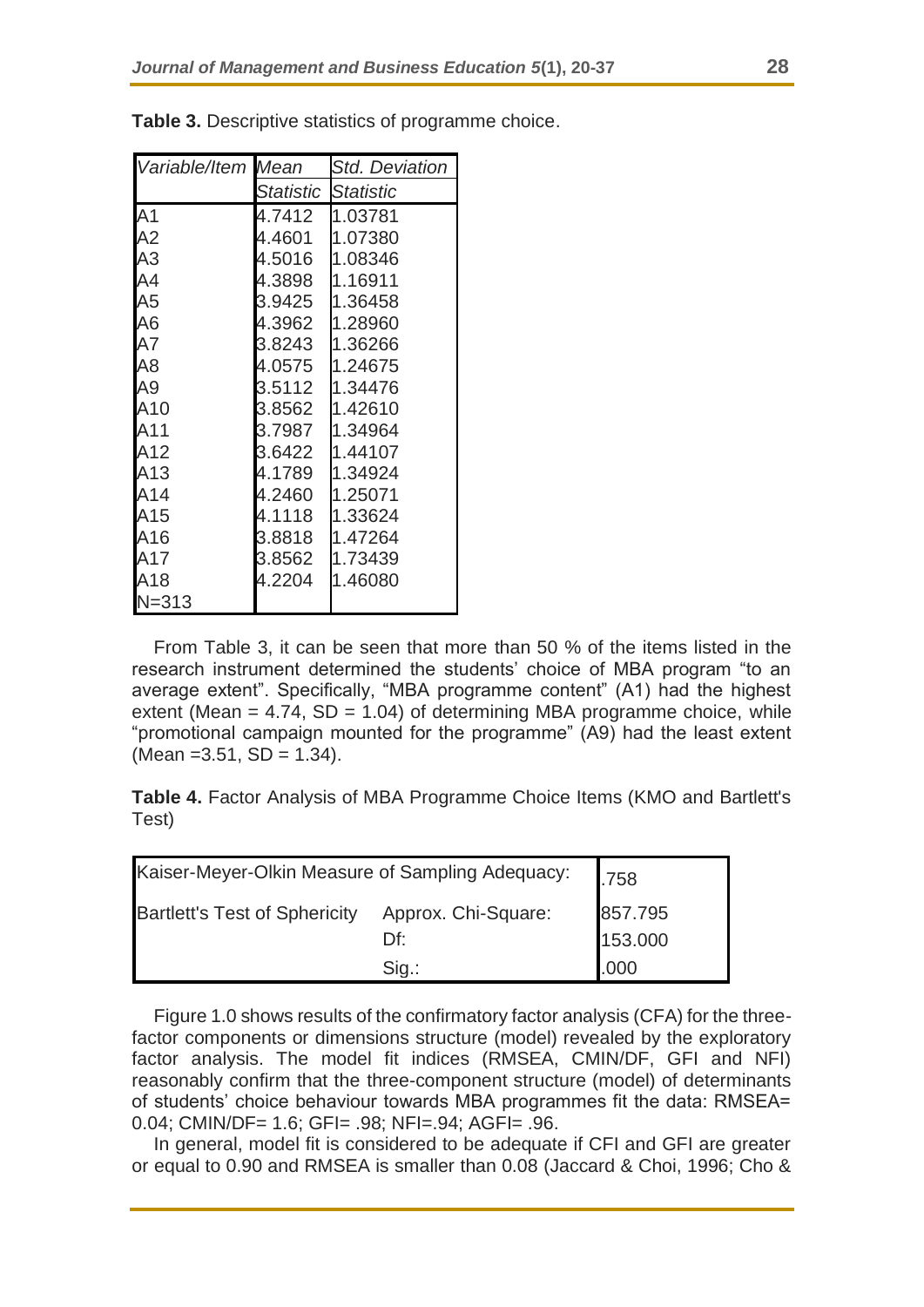| Variable/Item Mean |           | <b>Std. Deviation</b> |  |
|--------------------|-----------|-----------------------|--|
|                    | Statistic | <b>Statistic</b>      |  |
| A <sub>1</sub>     | 4.7412    | 1.03781               |  |
| A2                 | 4.4601    | 1.07380               |  |
| A3                 | 4.5016    | 1.08346               |  |
| A4                 | 4.3898    | 1.16911               |  |
| A5                 | 3.9425    | 1.36458               |  |
| A6                 | 4.3962    | 1.28960               |  |
| A7                 | 3.8243    | 1.36266               |  |
| A <sub>8</sub>     | 4.0575    | 1.24675               |  |
| A9                 | 3.5112    | 1.34476               |  |
| A10                | 3.8562    | 1.42610               |  |
| A11                | 3.7987    | 1.34964               |  |
| A12                | 3.6422    | 1.44107               |  |
| A13                | 4.1789    | 1.34924               |  |
| A14                | 4.2460    | 1.25071               |  |
| A15                | 4.1118    | 1.33624               |  |
| A16                | 3.8818    | 1.47264               |  |
| A17                | 3.8562    | 1.73439               |  |
| A18                | 4.2204    | 1.46080               |  |
| $N = 313$          |           |                       |  |

**Table 3.** Descriptive statistics of programme choice.

From Table 3, it can be seen that more than 50 % of the items listed in the research instrument determined the students' choice of MBA program "to an average extent". Specifically, "MBA programme content" (A1) had the highest extent (Mean  $= 4.74$ , SD  $= 1.04$ ) of determining MBA programme choice, while "promotional campaign mounted for the programme" (A9) had the least extent  $(Mean = 3.51, SD = 1.34).$ 

**Table 4.** Factor Analysis of MBA Programme Choice Items (KMO and Bartlett's Test)

| Kaiser-Meyer-Olkin Measure of Sampling Adequacy: | .758                |         |
|--------------------------------------------------|---------------------|---------|
| <b>Bartlett's Test of Sphericity</b>             | Approx. Chi-Square: | 857.795 |
|                                                  | Df∶                 | 153.000 |
|                                                  | $Sig.$ :            | .000    |

Figure 1.0 shows results of the confirmatory factor analysis (CFA) for the threefactor components or dimensions structure (model) revealed by the exploratory factor analysis. The model fit indices (RMSEA, CMIN/DF, GFI and NFI) reasonably confirm that the three-component structure (model) of determinants of students' choice behaviour towards MBA programmes fit the data: RMSEA= 0.04; CMIN/DF= 1.6; GFI= .98; NFI=.94; AGFI= .96.

In general, model fit is considered to be adequate if CFI and GFI are greater or equal to 0.90 and RMSEA is smaller than 0.08 (Jaccard & Choi, 1996; Cho &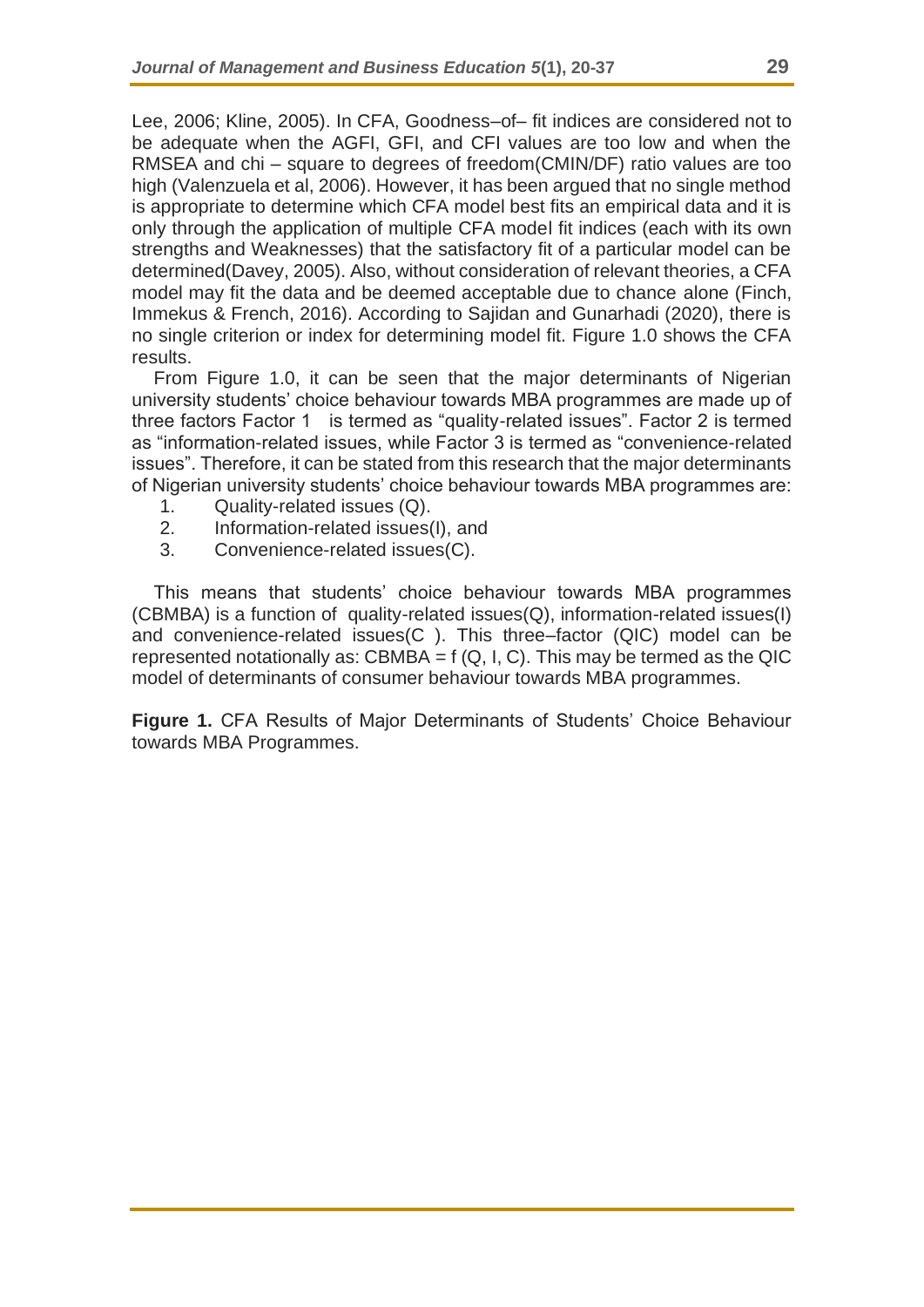Lee, 2006; Kline, 2005). In CFA, Goodness–of– fit indices are considered not to be adequate when the AGFI, GFI, and CFI values are too low and when the RMSEA and chi – square to degrees of freedom(CMIN/DF) ratio values are too high (Valenzuela et al, 2006). However, it has been argued that no single method is appropriate to determine which CFA model best fits an empirical data and it is only through the application of multiple CFA model fit indices (each with its own strengths and Weaknesses) that the satisfactory fit of a particular model can be determined(Davey, 2005). Also, without consideration of relevant theories, a CFA model may fit the data and be deemed acceptable due to chance alone (Finch, Immekus & French, 2016). According to Sajidan and Gunarhadi (2020), there is no single criterion or index for determining model fit. Figure 1.0 shows the CFA results.

From Figure 1.0, it can be seen that the major determinants of Nigerian university students' choice behaviour towards MBA programmes are made up of three factors Factor 1 is termed as "quality-related issues". Factor 2 is termed as "information-related issues, while Factor 3 is termed as "convenience-related issues". Therefore, it can be stated from this research that the major determinants of Nigerian university students' choice behaviour towards MBA programmes are:

- 1. Quality-related issues (Q).
- 2. Information-related issues(I), and
- 3. Convenience-related issues(C).

This means that students' choice behaviour towards MBA programmes (CBMBA) is a function of quality-related issues(Q), information-related issues(I) and convenience-related issues(C ). This three–factor (QIC) model can be represented notationally as: CBMBA =  $f(Q, I, C)$ . This may be termed as the QIC model of determinants of consumer behaviour towards MBA programmes.

**Figure 1.** CFA Results of Major Determinants of Students' Choice Behaviour towards MBA Programmes.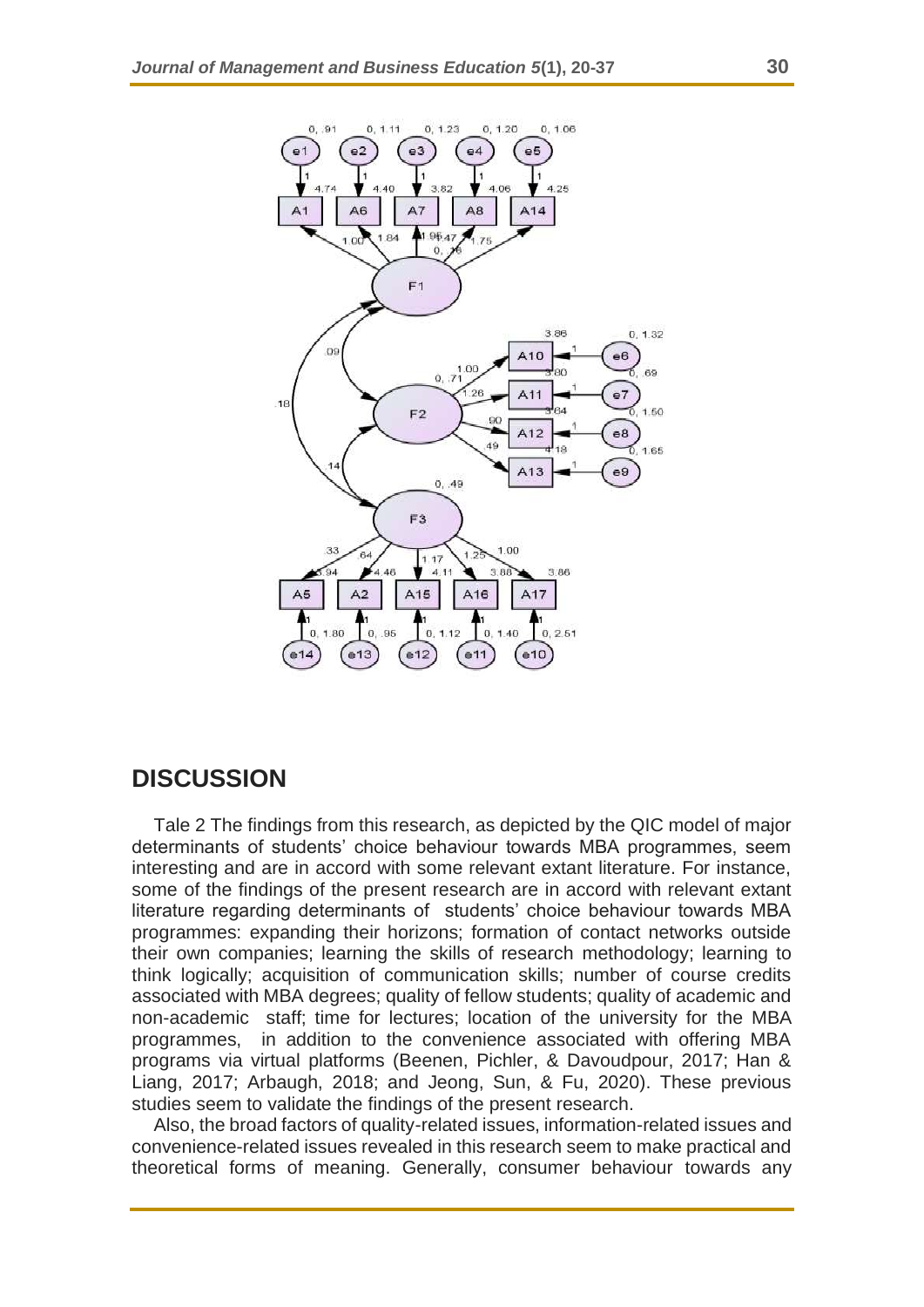

### **DISCUSSION**

Tale 2 The findings from this research, as depicted by the QIC model of major determinants of students' choice behaviour towards MBA programmes, seem interesting and are in accord with some relevant extant literature. For instance, some of the findings of the present research are in accord with relevant extant literature regarding determinants of students' choice behaviour towards MBA programmes: expanding their horizons; formation of contact networks outside their own companies; learning the skills of research methodology; learning to think logically; acquisition of communication skills; number of course credits associated with MBA degrees; quality of fellow students; quality of academic and non-academic staff; time for lectures; location of the university for the MBA programmes, in addition to the convenience associated with offering MBA programs via virtual platforms (Beenen, Pichler, & Davoudpour, 2017; Han & Liang, 2017; Arbaugh, 2018; and Jeong, Sun, & Fu, 2020). These previous studies seem to validate the findings of the present research.

Also, the broad factors of quality-related issues, information-related issues and convenience-related issues revealed in this research seem to make practical and theoretical forms of meaning. Generally, consumer behaviour towards any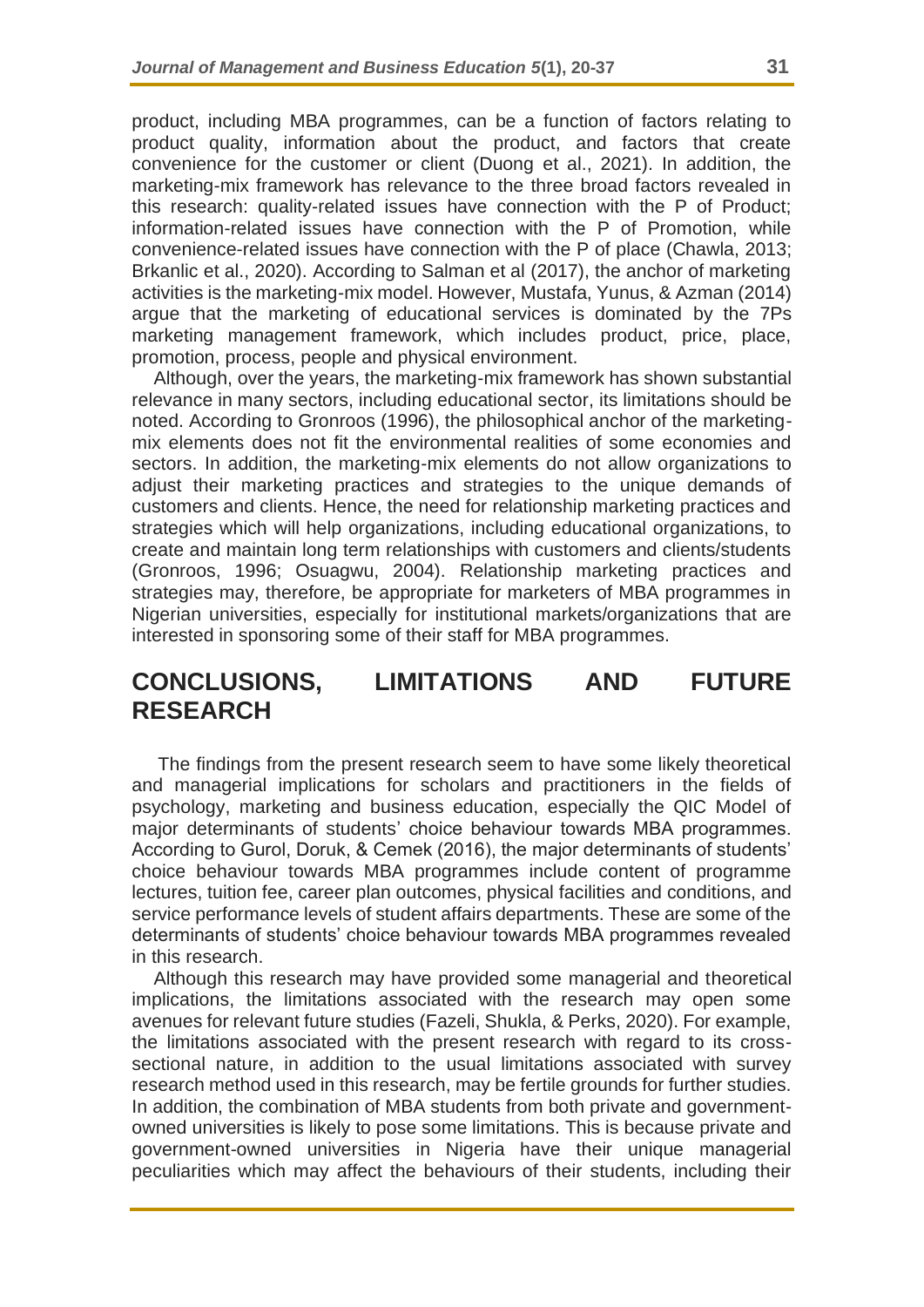product, including MBA programmes, can be a function of factors relating to product quality, information about the product, and factors that create convenience for the customer or client (Duong et al., 2021). In addition, the marketing-mix framework has relevance to the three broad factors revealed in this research: quality-related issues have connection with the P of Product; information-related issues have connection with the P of Promotion, while convenience-related issues have connection with the P of place (Chawla, 2013; Brkanlic et al., 2020). According to Salman et al (2017), the anchor of marketing activities is the marketing-mix model. However, Mustafa, Yunus, & Azman (2014) argue that the marketing of educational services is dominated by the 7Ps marketing management framework, which includes product, price, place, promotion, process, people and physical environment.

Although, over the years, the marketing-mix framework has shown substantial relevance in many sectors, including educational sector, its limitations should be noted. According to Gronroos (1996), the philosophical anchor of the marketingmix elements does not fit the environmental realities of some economies and sectors. In addition, the marketing-mix elements do not allow organizations to adjust their marketing practices and strategies to the unique demands of customers and clients. Hence, the need for relationship marketing practices and strategies which will help organizations, including educational organizations, to create and maintain long term relationships with customers and clients/students (Gronroos, 1996; Osuagwu, 2004). Relationship marketing practices and strategies may, therefore, be appropriate for marketers of MBA programmes in Nigerian universities, especially for institutional markets/organizations that are interested in sponsoring some of their staff for MBA programmes.

### **CONCLUSIONS, LIMITATIONS AND FUTURE RESEARCH**

The findings from the present research seem to have some likely theoretical and managerial implications for scholars and practitioners in the fields of psychology, marketing and business education, especially the QIC Model of major determinants of students' choice behaviour towards MBA programmes. According to Gurol, Doruk, & Cemek (2016), the major determinants of students' choice behaviour towards MBA programmes include content of programme lectures, tuition fee, career plan outcomes, physical facilities and conditions, and service performance levels of student affairs departments. These are some of the determinants of students' choice behaviour towards MBA programmes revealed in this research.

Although this research may have provided some managerial and theoretical implications, the limitations associated with the research may open some avenues for relevant future studies (Fazeli, Shukla, & Perks, 2020). For example, the limitations associated with the present research with regard to its crosssectional nature, in addition to the usual limitations associated with survey research method used in this research, may be fertile grounds for further studies. In addition, the combination of MBA students from both private and governmentowned universities is likely to pose some limitations. This is because private and government-owned universities in Nigeria have their unique managerial peculiarities which may affect the behaviours of their students, including their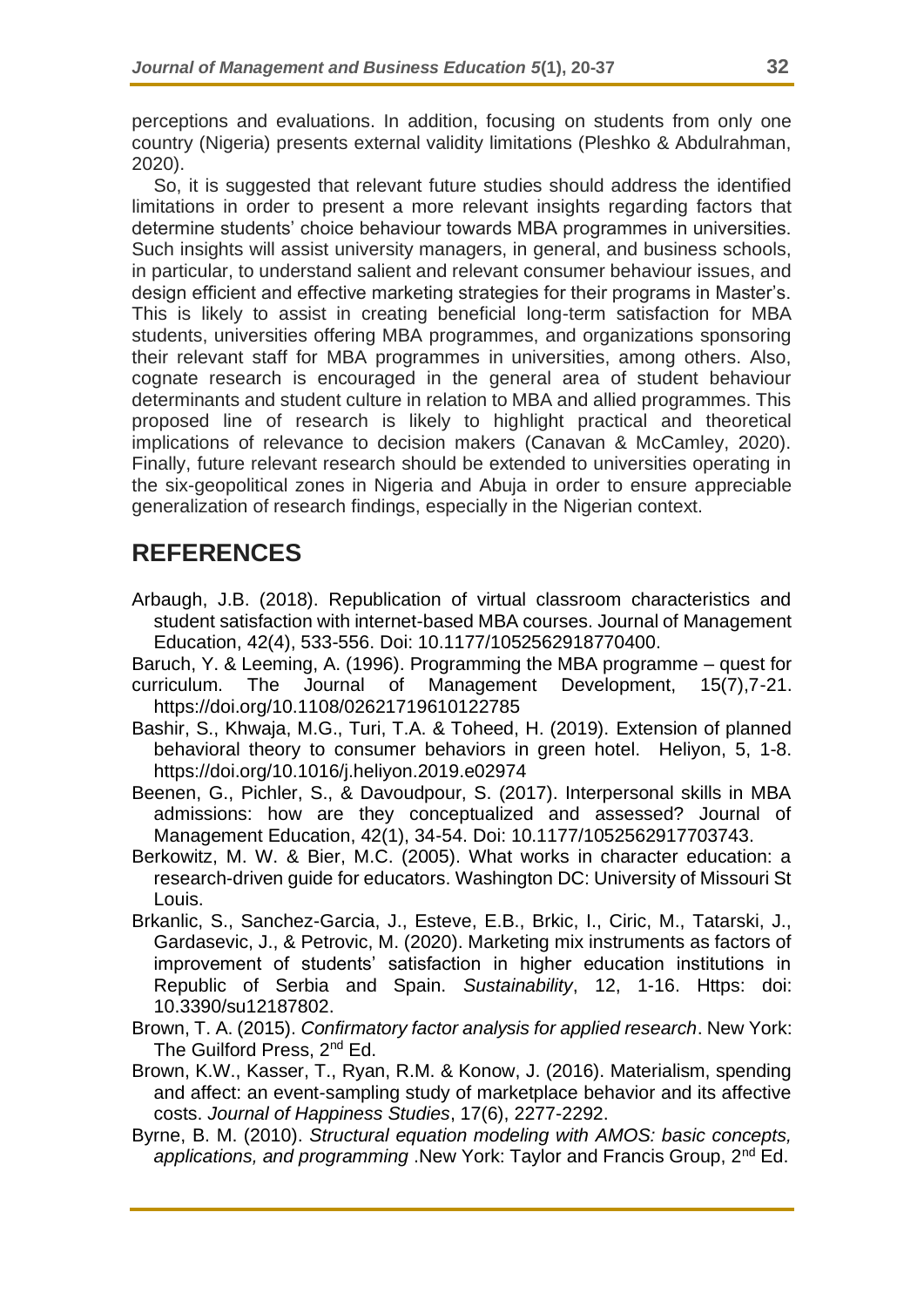perceptions and evaluations. In addition, focusing on students from only one country (Nigeria) presents external validity limitations (Pleshko & Abdulrahman, 2020).

So, it is suggested that relevant future studies should address the identified limitations in order to present a more relevant insights regarding factors that determine students' choice behaviour towards MBA programmes in universities. Such insights will assist university managers, in general, and business schools, in particular, to understand salient and relevant consumer behaviour issues, and design efficient and effective marketing strategies for their programs in Master's. This is likely to assist in creating beneficial long-term satisfaction for MBA students, universities offering MBA programmes, and organizations sponsoring their relevant staff for MBA programmes in universities, among others. Also, cognate research is encouraged in the general area of student behaviour determinants and student culture in relation to MBA and allied programmes. This proposed line of research is likely to highlight practical and theoretical implications of relevance to decision makers (Canavan & McCamley, 2020). Finally, future relevant research should be extended to universities operating in the six-geopolitical zones in Nigeria and Abuja in order to ensure appreciable generalization of research findings, especially in the Nigerian context.

# **REFERENCES**

Arbaugh, J.B. (2018). Republication of virtual classroom characteristics and student satisfaction with internet-based MBA courses. Journal of Management Education, 42(4), 533-556. Doi: 10.1177/1052562918770400.

Baruch, Y. & Leeming, A. (1996). Programming the MBA programme – quest for curriculum. The Journal of Management Development, 15(7),7-21. <https://doi.org/10.1108/02621719610122785>

- Bashir, S., Khwaja, M.G., Turi, T.A. & Toheed, H. (2019). Extension of planned behavioral theory to consumer behaviors in green hotel. Heliyon, 5, 1-8. https://doi.org/10.1016/j.heliyon.2019.e02974
- Beenen, G., Pichler, S., & Davoudpour, S. (2017). Interpersonal skills in MBA admissions: how are they conceptualized and assessed? Journal of Management Education, 42(1), 34-54. Doi: 10.1177/1052562917703743.
- Berkowitz, M. W. & Bier, M.C. (2005). What works in character education: a research-driven guide for educators. Washington DC: University of Missouri St Louis.
- Brkanlic, S., Sanchez-Garcia, J., Esteve, E.B., Brkic, I., Ciric, M., Tatarski, J., Gardasevic, J., & Petrovic, M. (2020). Marketing mix instruments as factors of improvement of students' satisfaction in higher education institutions in Republic of Serbia and Spain. *Sustainability*, 12, 1-16. Https: doi: 10.3390/su12187802.
- Brown, T. A. (2015). *Confirmatory factor analysis for applied research*. New York: The Guilford Press, 2<sup>nd</sup> Ed.
- Brown, K.W., Kasser, T., Ryan, R.M. & Konow, J. (2016). Materialism, spending and affect: an event-sampling study of marketplace behavior and its affective costs. *Journal of Happiness Studies*, 17(6), 2277-2292.
- Byrne, B. M. (2010). *Structural equation modeling with AMOS: basic concepts, applications, and programming* .New York: Taylor and Francis Group, 2nd Ed.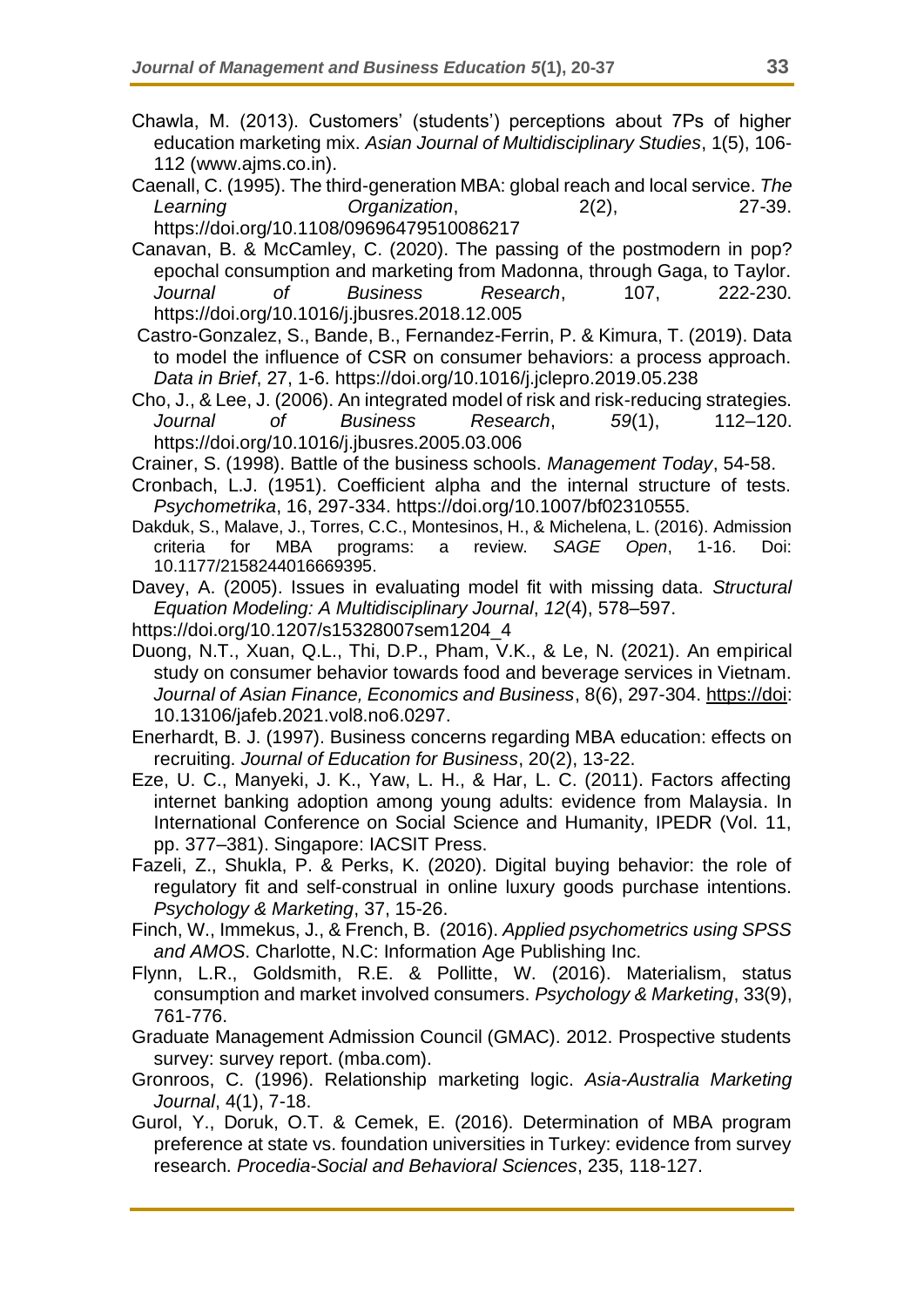- Chawla, M. (2013). Customers' (students') perceptions about 7Ps of higher education marketing mix. *Asian Journal of Multidisciplinary Studies*, 1(5), 106- 112 (www.ajms.co.in).
- Caenall, C. (1995). The third-generation MBA: global reach and local service. *The Learning Organization*, 2(2), 27-39. <https://doi.org/10.1108/09696479510086217>
- Canavan, B. & McCamley, C. (2020). The passing of the postmodern in pop? epochal consumption and marketing from Madonna, through Gaga, to Taylor. *Journal of Business Research*, 107, 222-230. https://doi.org/10.1016/j.jbusres.2018.12.005
- Castro-Gonzalez, S., Bande, B., Fernandez-Ferrin, P. & Kimura, T. (2019). Data to model the influence of CSR on consumer behaviors: a process approach. *Data in Brief*, 27, 1-6. https://doi.org/10.1016/j.jclepro.2019.05.238
- Cho, J., & Lee, J. (2006). An integrated model of risk and risk-reducing strategies. *Journal of Business Research*, *59*(1), 112–120. https://doi.org/10.1016/j.jbusres.2005.03.006
- Crainer, S. (1998). Battle of the business schools. *Management Today*, 54-58.
- Cronbach, L.J. (1951). Coefficient alpha and the internal structure of tests. *Psychometrika*, 16, 297-334. https://doi.org/10.1007/bf02310555.
- Dakduk, S., Malave, J., Torres, C.C., Montesinos, H., & Michelena, L. (2016). Admission criteria for MBA programs: a review. *SAGE Open*, 1-16. Doi: 10.1177/2158244016669395.
- Davey, A. (2005). Issues in evaluating model fit with missing data. *Structural Equation Modeling: A Multidisciplinary Journal*, *12*(4), 578–597.
- https://doi.org/10.1207/s15328007sem1204\_4
- Duong, N.T., Xuan, Q.L., Thi, D.P., Pham, V.K., & Le, N. (2021). An empirical study on consumer behavior towards food and beverage services in Vietnam. *Journal of Asian Finance, Economics and Business*, 8(6), 297-304. [https://doi:](https://doi/) 10.13106/jafeb.2021.vol8.no6.0297.
- Enerhardt, B. J. (1997). Business concerns regarding MBA education: effects on recruiting. *Journal of Education for Business*, 20(2), 13-22.
- Eze, U. C., Manyeki, J. K., Yaw, L. H., & Har, L. C. (2011). Factors affecting internet banking adoption among young adults: evidence from Malaysia. In International Conference on Social Science and Humanity, IPEDR (Vol. 11, pp. 377–381). Singapore: IACSIT Press.
- Fazeli, Z., Shukla, P. & Perks, K. (2020). Digital buying behavior: the role of regulatory fit and self-construal in online luxury goods purchase intentions. *Psychology & Marketing*, 37, 15-26.
- Finch, W., Immekus, J., & French, B. (2016). *Applied psychometrics using SPSS and AMOS*. Charlotte, N.C: Information Age Publishing Inc.
- Flynn, L.R., Goldsmith, R.E. & Pollitte, W. (2016). Materialism, status consumption and market involved consumers. *Psychology & Marketing*, 33(9), 761-776.
- Graduate Management Admission Council (GMAC). 2012. Prospective students survey: survey report. (mba.com).
- Gronroos, C. (1996). Relationship marketing logic. *Asia-Australia Marketing Journal*, 4(1), 7-18.
- Gurol, Y., Doruk, O.T. & Cemek, E. (2016). Determination of MBA program preference at state vs. foundation universities in Turkey: evidence from survey research. *Procedia-Social and Behavioral Sciences*, 235, 118-127.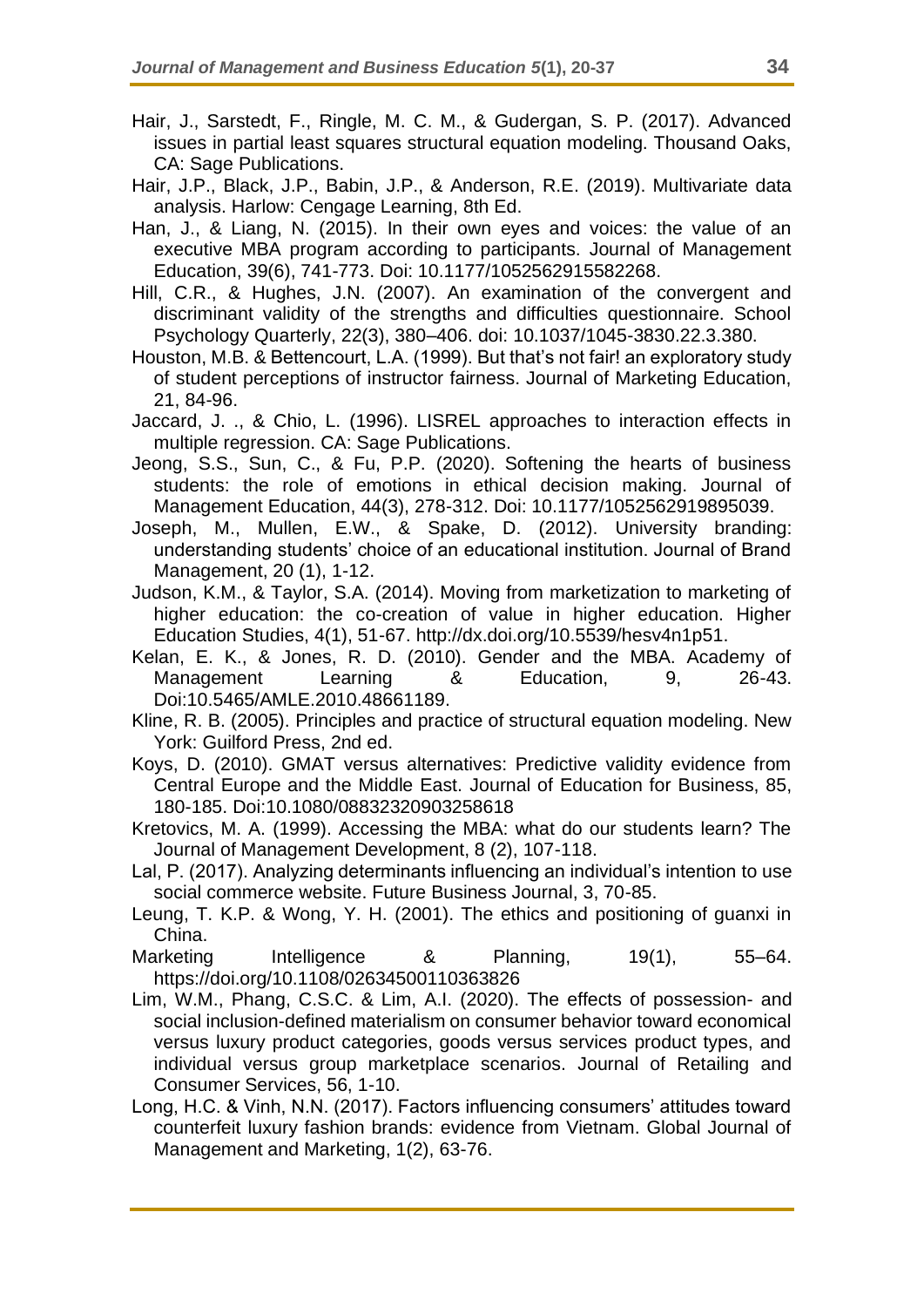- Hair, J., Sarstedt, F., Ringle, M. C. M., & Gudergan, S. P. (2017). Advanced issues in partial least squares structural equation modeling. Thousand Oaks, CA: Sage Publications.
- Hair, J.P., Black, J.P., Babin, J.P., & Anderson, R.E. (2019). Multivariate data analysis. Harlow: Cengage Learning, 8th Ed.
- Han, J., & Liang, N. (2015). In their own eyes and voices: the value of an executive MBA program according to participants. Journal of Management Education, 39(6), 741-773. Doi: 10.1177/1052562915582268.
- Hill, C.R., & Hughes, J.N. (2007). An examination of the convergent and discriminant validity of the strengths and difficulties questionnaire. School Psychology Quarterly, 22(3), 380–406. doi: 10.1037/1045-3830.22.3.380.
- Houston, M.B. & Bettencourt, L.A. (1999). But that's not fair! an exploratory study of student perceptions of instructor fairness. Journal of Marketing Education, 21, 84-96.
- Jaccard, J. ., & Chio, L. (1996). LISREL approaches to interaction effects in multiple regression. CA: Sage Publications.
- Jeong, S.S., Sun, C., & Fu, P.P. (2020). Softening the hearts of business students: the role of emotions in ethical decision making. Journal of Management Education, 44(3), 278-312. Doi: 10.1177/1052562919895039.
- Joseph, M., Mullen, E.W., & Spake, D. (2012). University branding: understanding students' choice of an educational institution. Journal of Brand Management, 20 (1), 1-12.
- Judson, K.M., & Taylor, S.A. (2014). Moving from marketization to marketing of higher education: the co-creation of value in higher education. Higher Education Studies, 4(1), 51-67. http://dx.doi.org/10.5539/hesv4n1p51.
- Kelan, E. K., & Jones, R. D. (2010). Gender and the MBA. Academy of Management Learning & Education, 9, 26-43. Doi:10.5465/AMLE.2010.48661189.
- Kline, R. B. (2005). Principles and practice of structural equation modeling. New York: Guilford Press, 2nd ed.
- Koys, D. (2010). GMAT versus alternatives: Predictive validity evidence from Central Europe and the Middle East. Journal of Education for Business, 85, 180-185. Doi:10.1080/08832320903258618
- Kretovics, M. A. (1999). Accessing the MBA: what do our students learn? The Journal of Management Development, 8 (2), 107-118.
- Lal, P. (2017). Analyzing determinants influencing an individual's intention to use social commerce website. Future Business Journal, 3, 70-85.
- Leung, T. K.P. & Wong, Y. H. (2001). The ethics and positioning of guanxi in China.
- Marketing Intelligence & Planning, 19(1), 55–64. https://doi.org/10.1108/02634500110363826
- Lim, W.M., Phang, C.S.C. & Lim, A.I. (2020). The effects of possession- and social inclusion-defined materialism on consumer behavior toward economical versus luxury product categories, goods versus services product types, and individual versus group marketplace scenarios. Journal of Retailing and Consumer Services, 56, 1-10.
- Long, H.C. & Vinh, N.N. (2017). Factors influencing consumers' attitudes toward counterfeit luxury fashion brands: evidence from Vietnam. Global Journal of Management and Marketing, 1(2), 63-76.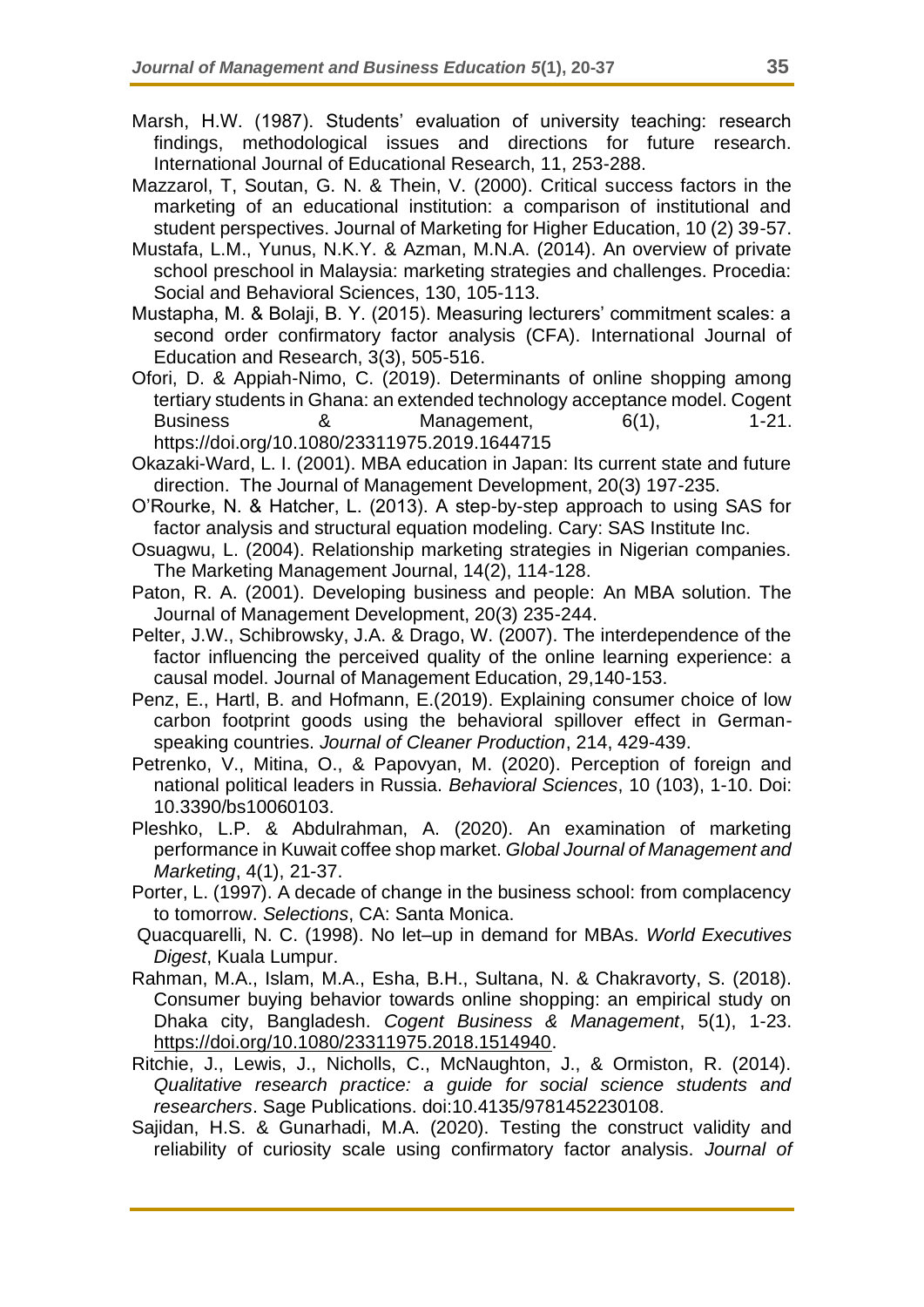- Marsh, H.W. (1987). Students' evaluation of university teaching: research findings, methodological issues and directions for future research. International Journal of Educational Research, 11, 253-288.
- Mazzarol, T, Soutan, G. N. & Thein, V. (2000). Critical success factors in the marketing of an educational institution: a comparison of institutional and student perspectives. Journal of Marketing for Higher Education, 10 (2) 39-57.
- Mustafa, L.M., Yunus, N.K.Y. & Azman, M.N.A. (2014). An overview of private school preschool in Malaysia: marketing strategies and challenges. Procedia: Social and Behavioral Sciences, 130, 105-113.
- Mustapha, M. & Bolaji, B. Y. (2015). Measuring lecturers' commitment scales: a second order confirmatory factor analysis (CFA). International Journal of Education and Research, 3(3), 505-516.
- Ofori, D. & Appiah-Nimo, C. (2019). Determinants of online shopping among tertiary students in Ghana: an extended technology acceptance model. Cogent Business 8 **& Management**, 6(1), 1-21, https://doi.org/10.1080/23311975.2019.1644715
- Okazaki-Ward, L. I. (2001). MBA education in Japan: Its current state and future direction. The Journal of Management Development, 20(3) 197-235.
- O'Rourke, N. & Hatcher, L. (2013). A step-by-step approach to using SAS for factor analysis and structural equation modeling. Cary: SAS Institute Inc.
- Osuagwu, L. (2004). Relationship marketing strategies in Nigerian companies. The Marketing Management Journal, 14(2), 114-128.
- Paton, R. A. (2001). Developing business and people: An MBA solution. The Journal of Management Development, 20(3) 235-244.
- Pelter, J.W., Schibrowsky, J.A. & Drago, W. (2007). The interdependence of the factor influencing the perceived quality of the online learning experience: a causal model. Journal of Management Education, 29,140-153.
- Penz, E., Hartl, B. and Hofmann, E.(2019). Explaining consumer choice of low carbon footprint goods using the behavioral spillover effect in Germanspeaking countries. *Journal of Cleaner Production*, 214, 429-439.
- Petrenko, V., Mitina, O., & Papovyan, M. (2020). Perception of foreign and national political leaders in Russia. *Behavioral Sciences*, 10 (103), 1-10. Doi: 10.3390/bs10060103.
- Pleshko, L.P. & Abdulrahman, A. (2020). An examination of marketing performance in Kuwait coffee shop market. *Global Journal of Management and Marketing*, 4(1), 21-37.
- Porter, L. (1997). A decade of change in the business school: from complacency to tomorrow. *Selections*, CA: Santa Monica.
- Quacquarelli, N. C. (1998). No let–up in demand for MBAs. *World Executives Digest*, Kuala Lumpur.
- Rahman, M.A., Islam, M.A., Esha, B.H., Sultana, N. & Chakravorty, S. (2018). Consumer buying behavior towards online shopping: an empirical study on Dhaka city, Bangladesh. *Cogent Business & Management*, 5(1), 1-23. [https://doi.org/10.1080/23311975.2018.1514940.](https://doi.org/10.1080/23311975.2018.1514940)
- Ritchie, J., Lewis, J., Nicholls, C., McNaughton, J., & Ormiston, R. (2014). *Qualitative research practice: a guide for social science students and researchers*. Sage Publications. doi:10.4135/9781452230108.
- Sajidan, H.S. & Gunarhadi, M.A. (2020). Testing the construct validity and reliability of curiosity scale using confirmatory factor analysis. *Journal of*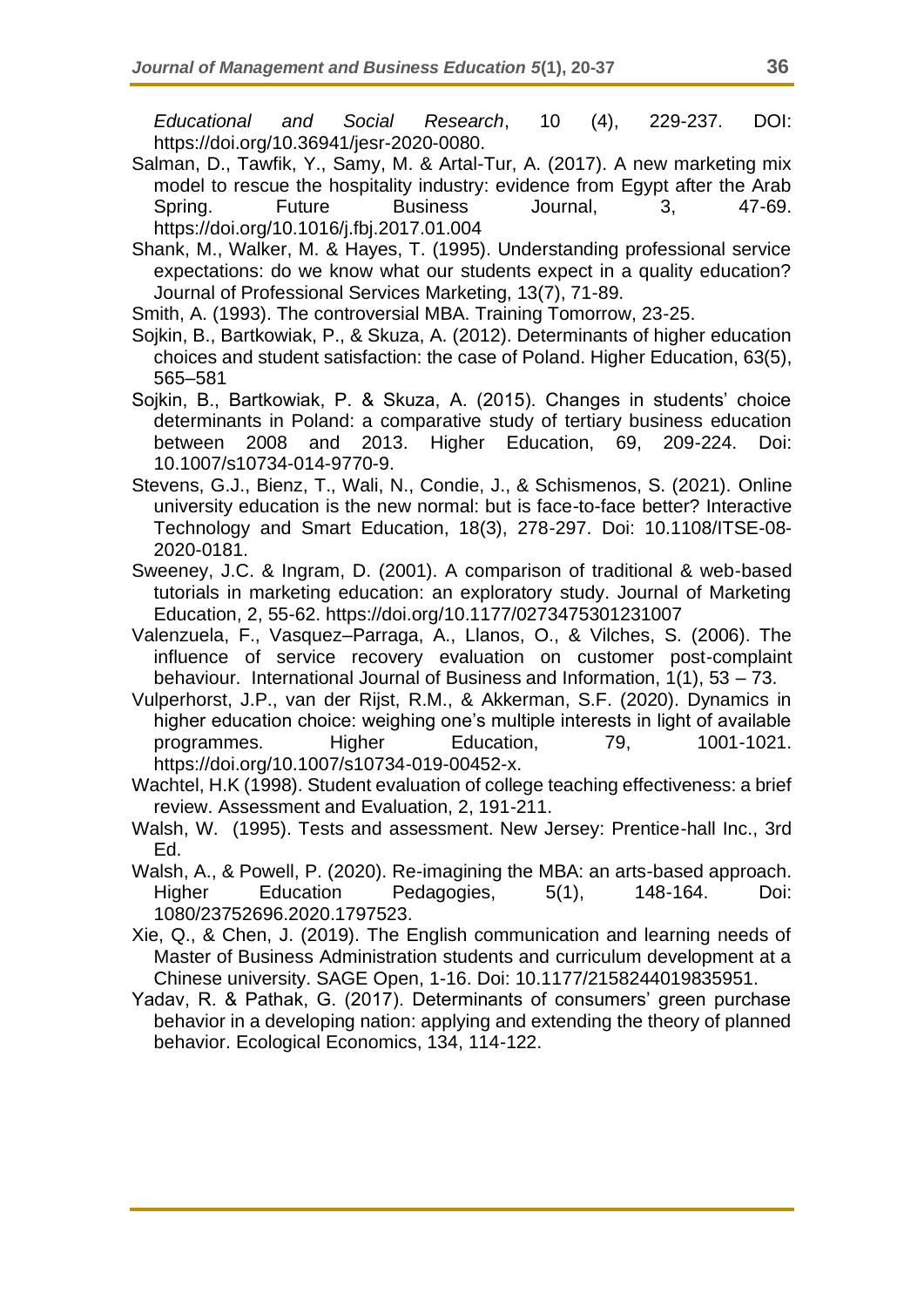*Educational and Social Research*, 10 (4), 229-237. DOI: https://doi.org/10.36941/jesr-2020-0080.

- Salman, D., Tawfik, Y., Samy, M. & Artal-Tur, A. (2017). A new marketing mix model to rescue the hospitality industry: evidence from Egypt after the Arab Spring. Future Business Journal, 3, 47-69. <https://doi.org/10.1016/j.fbj.2017.01.004>
- Shank, M., Walker, M. & Hayes, T. (1995). Understanding professional service expectations: do we know what our students expect in a quality education? Journal of Professional Services Marketing, 13(7), 71-89.
- Smith, A. (1993). The controversial MBA. Training Tomorrow, 23-25.
- Sojkin, B., Bartkowiak, P., & Skuza, A. (2012). Determinants of higher education choices and student satisfaction: the case of Poland. Higher Education, 63(5), 565–581
- Sojkin, B., Bartkowiak, P. & Skuza, A. (2015). Changes in students' choice determinants in Poland: a comparative study of tertiary business education between 2008 and 2013. Higher Education, 69, 209-224. Doi: 10.1007/s10734-014-9770-9.
- Stevens, G.J., Bienz, T., Wali, N., Condie, J., & Schismenos, S. (2021). Online university education is the new normal: but is face-to-face better? Interactive Technology and Smart Education, 18(3), 278-297. Doi: 10.1108/ITSE-08- 2020-0181.
- Sweeney, J.C. & Ingram, D. (2001). A comparison of traditional & web-based tutorials in marketing education: an exploratory study. Journal of Marketing Education, 2, 55-62. https://doi.org[/10.1177/0273475301231007](http://dx.doi.org/10.1177/0273475301231007)
- Valenzuela, F., Vasquez–Parraga, A., Llanos, O., & Vilches, S. (2006). The influence of service recovery evaluation on customer post-complaint behaviour. International Journal of Business and Information, 1(1), 53 – 73.
- Vulperhorst, J.P., van der Rijst, R.M., & Akkerman, S.F. (2020). Dynamics in higher education choice: weighing one's multiple interests in light of available programmes. Higher Education, 79, 1001-1021. https://doi.org/10.1007/s10734-019-00452-x.
- Wachtel, H.K (1998). Student evaluation of college teaching effectiveness: a brief review. Assessment and Evaluation, 2, 191-211.
- Walsh, W. (1995). Tests and assessment. New Jersey: Prentice-hall Inc., 3rd Ed.
- Walsh, A., & Powell, P. (2020). Re-imagining the MBA: an arts-based approach. Higher Education Pedagogies, 5(1), 148-164. Doi: 1080/23752696.2020.1797523.
- Xie, Q., & Chen, J. (2019). The English communication and learning needs of Master of Business Administration students and curriculum development at a Chinese university. SAGE Open, 1-16. Doi: 10.1177/2158244019835951.
- Yadav, R. & Pathak, G. (2017). Determinants of consumers' green purchase behavior in a developing nation: applying and extending the theory of planned behavior. Ecological Economics, 134, 114-122.